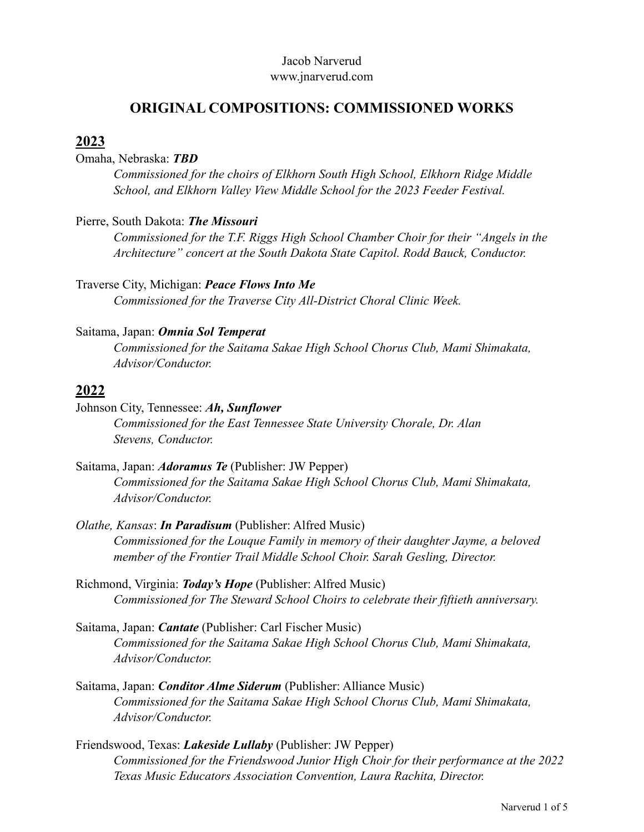#### Jacob Narverud [www.jnarverud.com](http://www.jnarverud.com)

# **ORIGINAL COMPOSITIONS: COMMISSIONED WORKS**

## **2023**

Omaha, Nebraska: *TBD*

*Commissioned for the choirs of Elkhorn South High School, Elkhorn Ridge Middle School, and Elkhorn Valley View Middle School for the 2023 Feeder Festival.*

#### Pierre, South Dakota: *The Missouri*

*Commissioned for the T.F. Riggs High School Chamber Choir for their "Angels in the Architecture" concert at the South Dakota State Capitol. Rodd Bauck, Conductor.* 

Traverse City, Michigan: *Peace Flows Into Me Commissioned for the Traverse City All-District Choral Clinic Week.* 

#### Saitama, Japan: *Omnia Sol Temperat*

*Commissioned for the Saitama Sakae High School Chorus Club, Mami Shimakata, Advisor/Conductor.*

#### **2022**

Johnson City, Tennessee: *Ah, Sunflower Commissioned for the East Tennessee State University Chorale, Dr. Alan Stevens, Conductor.*

- Saitama, Japan: *Adoramus Te* (Publisher: JW Pepper) *Commissioned for the Saitama Sakae High School Chorus Club, Mami Shimakata, Advisor/Conductor.*
- *Olathe, Kansas*: *In Paradisum* (Publisher: Alfred Music) *Commissioned for the Louque Family in memory of their daughter Jayme, a beloved member of the Frontier Trail Middle School Choir. Sarah Gesling, Director.*
- Richmond, Virginia: *Today's Hope* (Publisher: Alfred Music) *Commissioned for The Steward School Choirs to celebrate their fiftieth anniversary.*
- Saitama, Japan: *Cantate* (Publisher: Carl Fischer Music) *Commissioned for the Saitama Sakae High School Chorus Club, Mami Shimakata, Advisor/Conductor.*
- Saitama, Japan: *Conditor Alme Siderum* (Publisher: Alliance Music) *Commissioned for the Saitama Sakae High School Chorus Club, Mami Shimakata, Advisor/Conductor.*
- Friendswood, Texas: *Lakeside Lullaby* (Publisher: JW Pepper) *Commissioned for the Friendswood Junior High Choir for their performance at the 2022 Texas Music Educators Association Convention, Laura Rachita, Director.*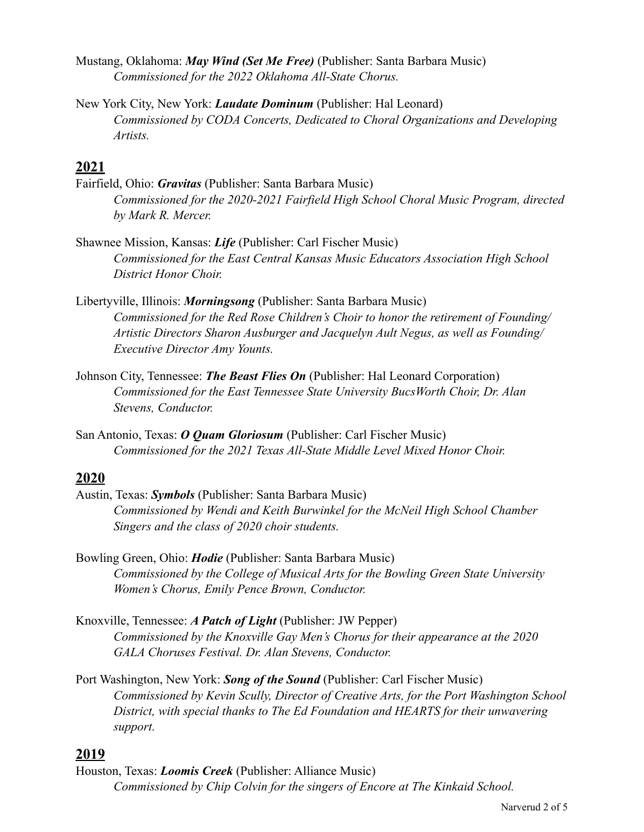- Mustang, Oklahoma: *May Wind (Set Me Free)* (Publisher: Santa Barbara Music) *Commissioned for the 2022 Oklahoma All-State Chorus.*
- New York City, New York: *Laudate Dominum* (Publisher: Hal Leonard) *Commissioned by CODA Concerts, Dedicated to Choral Organizations and Developing Artists.*

## **2021**

- Fairfield, Ohio: *Gravitas* (Publisher: Santa Barbara Music) *Commissioned for the 2020-2021 Fairfield High School Choral Music Program, directed by Mark R. Mercer.*
- Shawnee Mission, Kansas: *Life* (Publisher: Carl Fischer Music) *Commissioned for the East Central Kansas Music Educators Association High School District Honor Choir.*
- Libertyville, Illinois: *Morningsong* (Publisher: Santa Barbara Music) *Commissioned for the Red Rose Children's Choir to honor the retirement of Founding/ Artistic Directors Sharon Ausburger and Jacquelyn Ault Negus, as well as Founding/ Executive Director Amy Younts.*
- Johnson City, Tennessee: *The Beast Flies On* (Publisher: Hal Leonard Corporation) *Commissioned for the East Tennessee State University BucsWorth Choir, Dr. Alan Stevens, Conductor.*
- San Antonio, Texas: *O Quam Gloriosum* (Publisher: Carl Fischer Music) *Commissioned for the 2021 Texas All-State Middle Level Mixed Honor Choir.*

## **2020**

- Austin, Texas: *Symbols* (Publisher: Santa Barbara Music) *Commissioned by Wendi and Keith Burwinkel for the McNeil High School Chamber Singers and the class of 2020 choir students.*
- Bowling Green, Ohio: *Hodie* (Publisher: Santa Barbara Music) *Commissioned by the College of Musical Arts for the Bowling Green State University Women's Chorus, Emily Pence Brown, Conductor.*
- Knoxville, Tennessee: *A Patch of Light* (Publisher: JW Pepper) *Commissioned by the Knoxville Gay Men's Chorus for their appearance at the 2020 GALA Choruses Festival. Dr. Alan Stevens, Conductor.*
- Port Washington, New York: *Song of the Sound* (Publisher: Carl Fischer Music) *Commissioned by Kevin Scully, Director of Creative Arts, for the Port Washington School District, with special thanks to The Ed Foundation and HEARTS for their unwavering support.*

## **2019**

Houston, Texas: *Loomis Creek* (Publisher: Alliance Music) *Commissioned by Chip Colvin for the singers of Encore at The Kinkaid School.*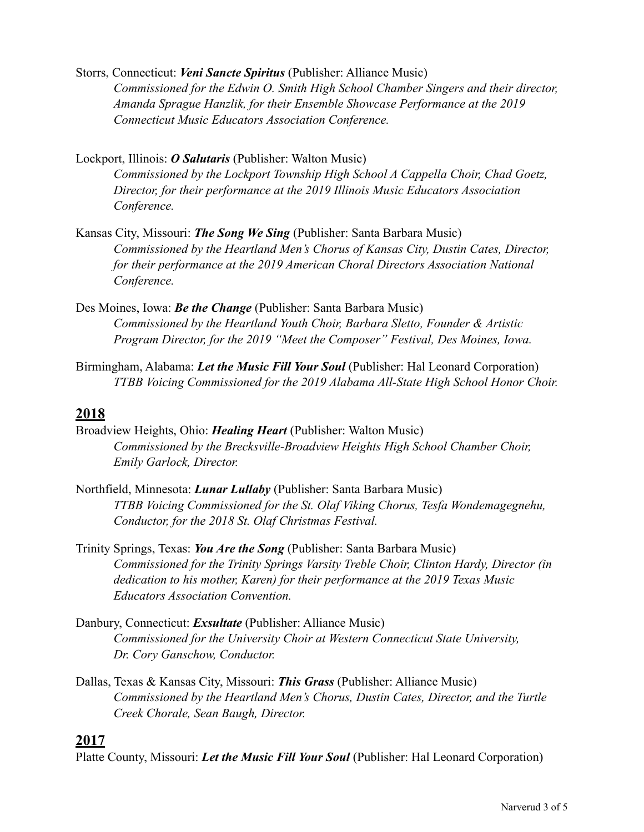Storrs, Connecticut: *Veni Sancte Spiritus* (Publisher: Alliance Music) *Commissioned for the Edwin O. Smith High School Chamber Singers and their director, Amanda Sprague Hanzlik, for their Ensemble Showcase Performance at the 2019 Connecticut Music Educators Association Conference.* 

Lockport, Illinois: *O Salutaris* (Publisher: Walton Music)

*Commissioned by the Lockport Township High School A Cappella Choir, Chad Goetz, Director, for their performance at the 2019 Illinois Music Educators Association Conference.*

- Kansas City, Missouri: *The Song We Sing* (Publisher: Santa Barbara Music) *Commissioned by the Heartland Men's Chorus of Kansas City, Dustin Cates, Director, for their performance at the 2019 American Choral Directors Association National Conference.*
- Des Moines, Iowa: *Be the Change* (Publisher: Santa Barbara Music) *Commissioned by the Heartland Youth Choir, Barbara Sletto, Founder & Artistic Program Director, for the 2019 "Meet the Composer" Festival, Des Moines, Iowa.*
- Birmingham, Alabama: *Let the Music Fill Your Soul* (Publisher: Hal Leonard Corporation) *TTBB Voicing Commissioned for the 2019 Alabama All-State High School Honor Choir.*

### **2018**

- Broadview Heights, Ohio: *Healing Heart* (Publisher: Walton Music) *Commissioned by the Brecksville-Broadview Heights High School Chamber Choir, Emily Garlock, Director.*
- Northfield, Minnesota: *Lunar Lullaby* (Publisher: Santa Barbara Music) *TTBB Voicing Commissioned for the St. Olaf Viking Chorus, Tesfa Wondemagegnehu, Conductor, for the 2018 St. Olaf Christmas Festival.*
- Trinity Springs, Texas: *You Are the Song* (Publisher: Santa Barbara Music) *Commissioned for the Trinity Springs Varsity Treble Choir, Clinton Hardy, Director (in dedication to his mother, Karen) for their performance at the 2019 Texas Music Educators Association Convention.*
- Danbury, Connecticut: *Exsultate* (Publisher: Alliance Music) *Commissioned for the University Choir at Western Connecticut State University, Dr. Cory Ganschow, Conductor.*
- Dallas, Texas & Kansas City, Missouri: *This Grass* (Publisher: Alliance Music) *Commissioned by the Heartland Men's Chorus, Dustin Cates, Director, and the Turtle Creek Chorale, Sean Baugh, Director.*

#### **2017**

Platte County, Missouri: *Let the Music Fill Your Soul* (Publisher: Hal Leonard Corporation)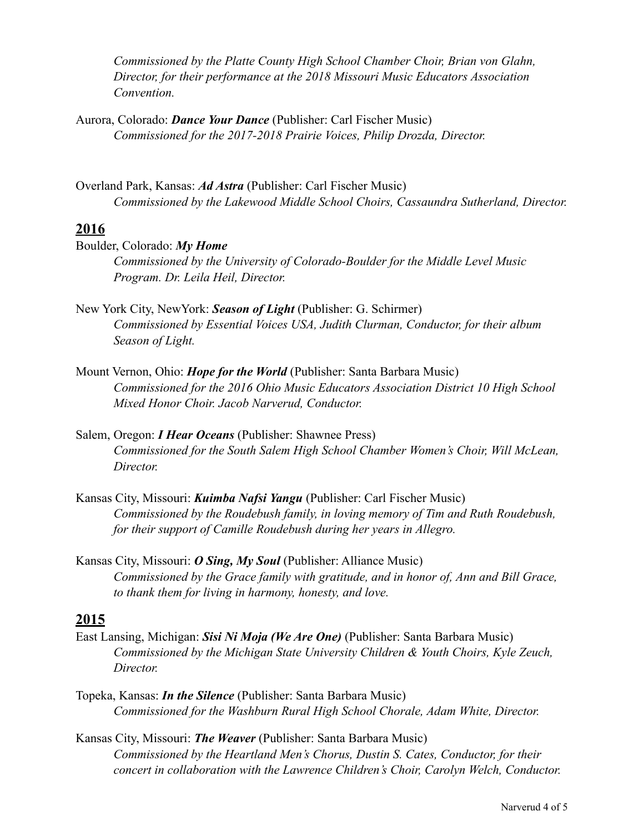*Commissioned by the Platte County High School Chamber Choir, Brian von Glahn, Director, for their performance at the 2018 Missouri Music Educators Association Convention.*

Aurora, Colorado: *Dance Your Dance* (Publisher: Carl Fischer Music) *Commissioned for the 2017-2018 Prairie Voices, Philip Drozda, Director.* 

Overland Park, Kansas: *Ad Astra* (Publisher: Carl Fischer Music) *Commissioned by the Lakewood Middle School Choirs, Cassaundra Sutherland, Director.*

#### **2016**

Boulder, Colorado: *My Home Commissioned by the University of Colorado-Boulder for the Middle Level Music Program. Dr. Leila Heil, Director.* 

- New York City, NewYork: *Season of Light* (Publisher: G. Schirmer) *Commissioned by Essential Voices USA, Judith Clurman, Conductor, for their album Season of Light.*
- Mount Vernon, Ohio: *Hope for the World* (Publisher: Santa Barbara Music) *Commissioned for the 2016 Ohio Music Educators Association District 10 High School Mixed Honor Choir. Jacob Narverud, Conductor.*
- Salem, Oregon: *I Hear Oceans* (Publisher: Shawnee Press) *Commissioned for the South Salem High School Chamber Women's Choir, Will McLean, Director.*
- Kansas City, Missouri: *Kuimba Nafsi Yangu* (Publisher: Carl Fischer Music) *Commissioned by the Roudebush family, in loving memory of Tim and Ruth Roudebush, for their support of Camille Roudebush during her years in Allegro.*
- Kansas City, Missouri: *O Sing, My Soul* (Publisher: Alliance Music) *Commissioned by the Grace family with gratitude, and in honor of, Ann and Bill Grace, to thank them for living in harmony, honesty, and love.*

## **2015**

- East Lansing, Michigan: *Sisi Ni Moja (We Are One)* (Publisher: Santa Barbara Music) *Commissioned by the Michigan State University Children & Youth Choirs, Kyle Zeuch, Director.*
- Topeka, Kansas: *In the Silence* (Publisher: Santa Barbara Music) *Commissioned for the Washburn Rural High School Chorale, Adam White, Director.*
- Kansas City, Missouri: *The Weaver* (Publisher: Santa Barbara Music) *Commissioned by the Heartland Men's Chorus, Dustin S. Cates, Conductor, for their concert in collaboration with the Lawrence Children's Choir, Carolyn Welch, Conductor.*